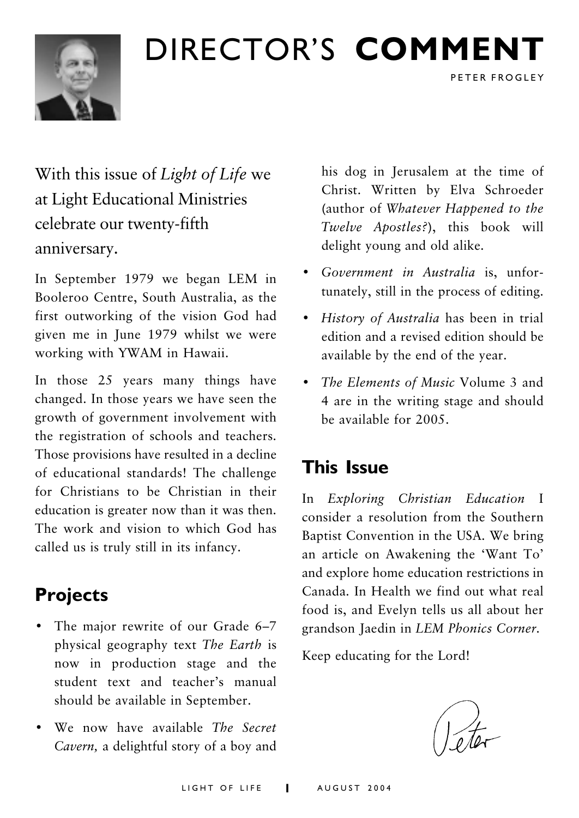## DIRECTOR'S COMMENT



With this issue of Light of Life we at Light Educational Ministries celebrate our twenty-fifth anniversary.

In September 1979 we began LEM in Booleroo Centre, South Australia, as the first outworking of the vision God had given me in June 1979 whilst we were working with YWAM in Hawaii.

In those 25 years many things have changed. In those years we have seen the growth of government involvement with the registration of schools and teachers. Those provisions have resulted in a decline of educational standards! The challenge for Christians to be Christian in their education is greater now than it was then The work and vision to which God has called us is truly still in its infancy.

## **Projects**

- The major rewrite of our Grade 6-7 physical geography text The Earth is now in production stage and the student text and teacher's manual should be available in September.
- We now have available The Secret Cavern, a delightful story of a boy and

his dog in Jerusalem at the time of Christ. Written by Elva Schroeder (author of Whatever Happened to the *Twelve Apostles?*), this book will delight young and old alike.

PETER FROGLEY

- Government in Australia is, unfortunately, still in the process of editing.
- History of Australia has been in trial edition and a revised edition should be available by the end of the year.
- The Elements of Music Volume 3 and 4 are in the writing stage and should be available for 2005.

### **This Issue**

In Exploring Christian Education I consider a resolution from the Southern Baptist Convention in the USA. We bring an article on Awakening the 'Want To' and explore home education restrictions in Canada. In Health we find out what real food is, and Evelyn tells us all about her grandson Jaedin in LEM Phonics Corner.

Keep educating for the Lord!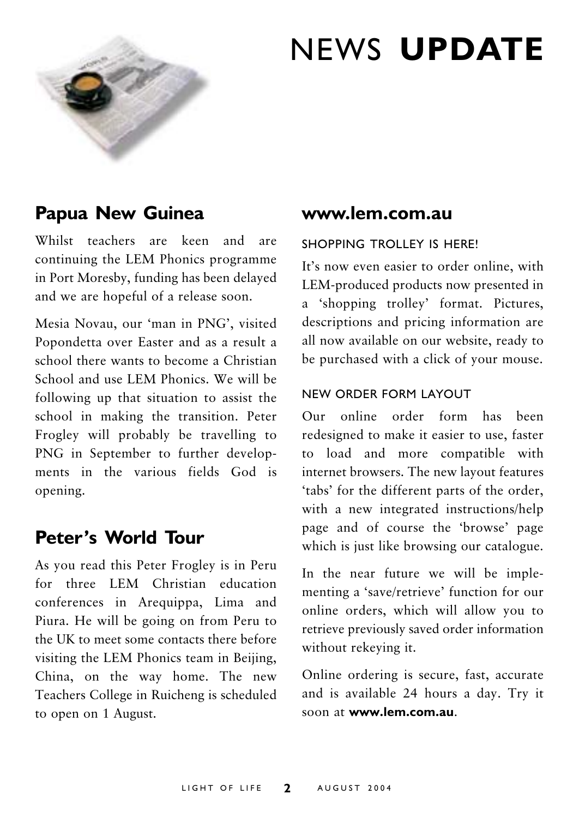

## **NEWS UPDATE**

### Papua New Guinea

Whilst teachers are keen and are continuing the LEM Phonics programme in Port Moresby, funding has been delayed and we are hopeful of a release soon.

Mesia Novau, our 'man in PNG', visited Popondetta over Easter and as a result a school there wants to become a Christian School and use LEM Phonics. We will be following up that situation to assist the school in making the transition. Peter Frogley will probably be travelling to PNG in September to further developments in the various fields God is opening.

#### Peter's World Tour

As you read this Peter Frogley is in Peru for three LEM Christian education conferences in Arequippa, Lima and Piura. He will be going on from Peru to the UK to meet some contacts there before visiting the LEM Phonics team in Beijing, China, on the way home. The new Teachers College in Ruicheng is scheduled to open on 1 August.

#### www.lem.com.au

#### SHOPPING TROLLEY IS HERE!

It's now even easier to order online, with LEM-produced products now presented in a 'shopping trolley' format. Pictures, descriptions and pricing information are all now available on our website, ready to be purchased with a click of your mouse.

#### NEW ORDER FORM LAYOUT

Our online order form has been redesigned to make it easier to use, faster to load and more compatible with internet browsers. The new layout features 'tabs' for the different parts of the order, with a new integrated instructions/help page and of course the 'browse' page which is just like browsing our catalogue.

In the near future we will be implementing a 'save/retrieve' function for our online orders, which will allow you to retrieve previously saved order information without rekeying it.

Online ordering is secure, fast, accurate and is available 24 hours a day. Try it soon at www.lem.com.au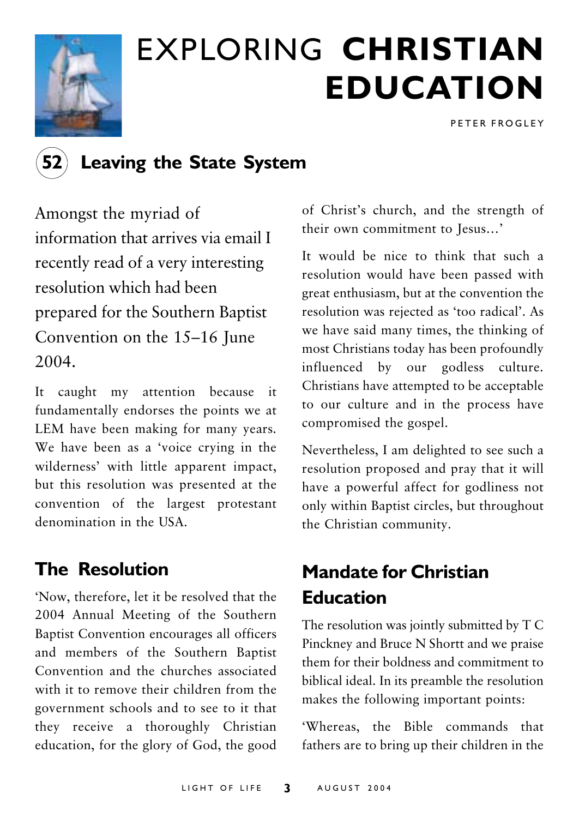

## **EXPLORING CHRISTIAN EDUCATION**

PETER FROGLEY

### **Leaving the State System**

Amongst the myriad of information that arrives via email I recently read of a very interesting resolution which had been prepared for the Southern Baptist Convention on the 15–16 June  $2004.$ 

It caught my attention because it fundamentally endorses the points we at LEM have been making for many years. We have been as a 'voice crying in the wilderness' with little apparent impact, but this resolution was presented at the convention of the largest protestant denomination in the USA

### **The Resolution**

'Now, therefore, let it be resolved that the 2004 Annual Meeting of the Southern Baptist Convention encourages all officers and members of the Southern Baptist Convention and the churches associated with it to remove their children from the government schools and to see to it that they receive a thoroughly Christian education, for the glory of God, the good

of Christ's church, and the strength of their own commitment to Iesus...'

It would be nice to think that such a resolution would have been passed with great enthusiasm, but at the convention the resolution was rejected as 'too radical'. As we have said many times, the thinking of most Christians today has been profoundly influenced by our godless culture. Christians have attempted to be acceptable to our culture and in the process have compromised the gospel.

Nevertheless, I am delighted to see such a resolution proposed and pray that it will have a powerful affect for godliness not only within Baptist circles, but throughout the Christian community.

## **Mandate for Christian Fducation**

The resolution was jointly submitted by T C Pinckney and Bruce N Shortt and we praise them for their boldness and commitment to biblical ideal. In its preamble the resolution makes the following important points:

'Whereas, the Bible commands that fathers are to bring up their children in the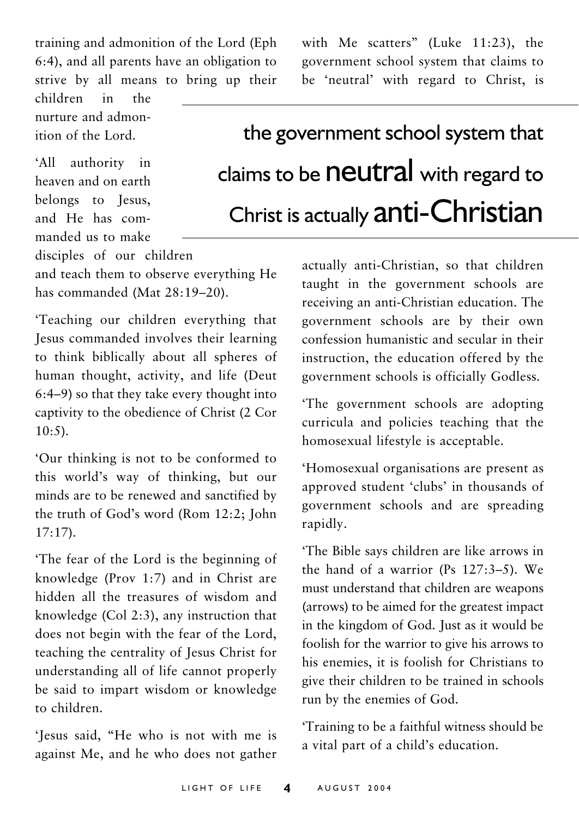training and admonition of the Lord (Eph 6:4), and all parents have an obligation to strive by all means to bring up their

children  $in$ the nurture and admonition of the Lord.

'All authority in heaven and on earth belongs to Jesus, and He has commanded us to make government school system that claims to be 'neutral' with regard to Christ, is

with Me scatters" (Luke 11:23), the

## the government school system that claims to be **neutral** with regard to Christ is actually anti-Christian

disciples of our children

and teach them to observe everything He has commanded (Mat 28:19-20).

'Teaching our children everything that Jesus commanded involves their learning to think biblically about all spheres of human thought, activity, and life (Deut 6:4–9) so that they take every thought into captivity to the obedience of Christ (2 Cor  $10:5$ ).

'Our thinking is not to be conformed to this world's way of thinking, but our minds are to be renewed and sanctified by the truth of God's word (Rom 12:2; John  $17:17$ ).

The fear of the Lord is the beginning of knowledge (Prov 1:7) and in Christ are hidden all the treasures of wisdom and knowledge (Col 2:3), any instruction that does not begin with the fear of the Lord, teaching the centrality of Jesus Christ for understanding all of life cannot properly be said to impart wisdom or knowledge to children

'Jesus said, "He who is not with me is against Me, and he who does not gather actually anti-Christian, so that children taught in the government schools are receiving an anti-Christian education. The government schools are by their own confession humanistic and secular in their instruction, the education offered by the government schools is officially Godless.

The government schools are adopting curricula and policies teaching that the homosexual lifestyle is acceptable.

'Homosexual organisations are present as approved student 'clubs' in thousands of government schools and are spreading rapidly.

'The Bible says children are like arrows in the hand of a warrior (Ps  $127:3-5$ ). We must understand that children are weapons (arrows) to be aimed for the greatest impact in the kingdom of God. Just as it would be foolish for the warrior to give his arrows to his enemies, it is foolish for Christians to give their children to be trained in schools run by the enemies of God.

Training to be a faithful witness should be a vital part of a child's education.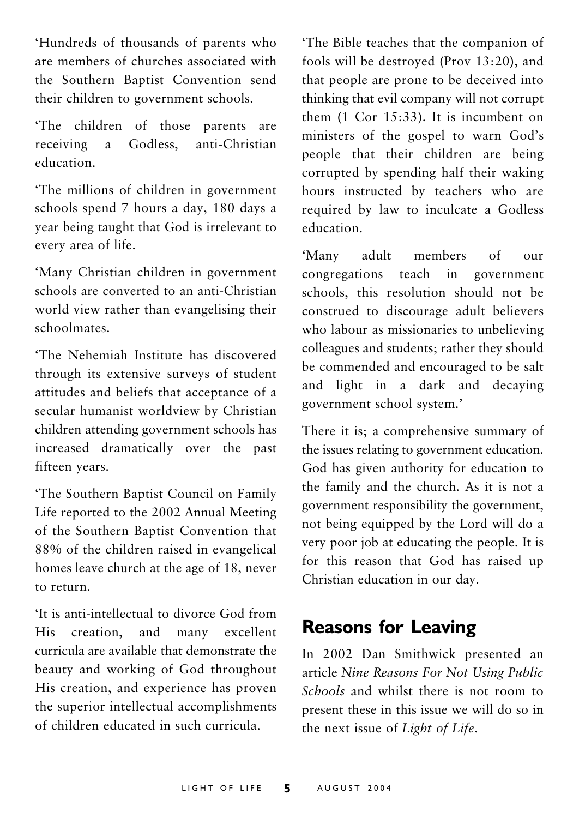'Hundreds of thousands of parents who are members of churches associated with the Southern Baptist Convention send their children to government schools.

'The children of those parents are receiving  $\overline{a}$ Godless. anti-Christian education

'The millions of children in government schools spend 7 hours a day, 180 days a vear being taught that God is irrelevant to every area of life.

'Many Christian children in government schools are converted to an anti-Christian world view rather than evangelising their schoolmates

'The Nehemiah Institute has discovered through its extensive surveys of student attitudes and beliefs that acceptance of a secular humanist worldview by Christian children attending government schools has increased dramatically over the past fifteen vears.

'The Southern Baptist Council on Family Life reported to the 2002 Annual Meeting of the Southern Baptist Convention that 88% of the children raised in evangelical homes leave church at the age of 18, never to return.

'It is anti-intellectual to divorce God from His creation, and many excellent curricula are available that demonstrate the beauty and working of God throughout His creation, and experience has proven the superior intellectual accomplishments of children educated in such curricula

'The Bible teaches that the companion of fools will be destroved (Prov 13:20), and that people are prone to be deceived into thinking that evil company will not corrupt them  $(1$  Cor 15:33). It is incumbent on ministers of the gospel to warn God's people that their children are being corrupted by spending half their waking hours instructed by teachers who are required by law to inculcate a Godless education

'Many adult members  $\alpha$ f  $_{\rm{OIII}}$ congregations teach in government schools, this resolution should not be construed to discourage adult believers who labour as missionaries to unbelieving colleagues and students; rather they should be commended and encouraged to be salt and light in a dark and decaying government school system.'

There it is; a comprehensive summary of the issues relating to government education. God has given authority for education to the family and the church. As it is not a government responsibility the government, not being equipped by the Lord will do a very poor job at educating the people. It is for this reason that God has raised up Christian education in our day.

### **Reasons for Leaving**

In 2002 Dan Smithwick presented an article Nine Reasons For Not Using Public Schools and whilst there is not room to present these in this issue we will do so in the next issue of Light of Life.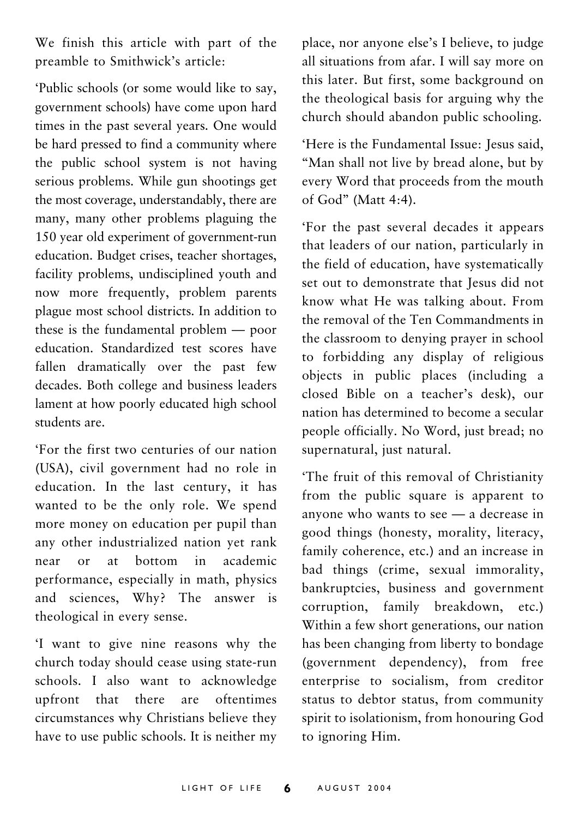We finish this article with part of the preamble to Smithwick's article:

'Public schools (or some would like to say, government schools) have come upon hard times in the past several years. One would be hard pressed to find a community where the public school system is not having serious problems. While gun shootings get the most coverage, understandably, there are many, many other problems plaguing the 150 year old experiment of government-run education. Budget crises, teacher shortages, facility problems, undisciplined youth and now more frequently, problem parents plague most school districts. In addition to these is the fundamental problem — poor education Standardized test scores have fallen dramatically over the past few decades. Both college and business leaders lament at how poorly educated high school students are

'For the first two centuries of our nation (USA), civil government had no role in education. In the last century, it has wanted to be the only role. We spend more money on education per pupil than any other industrialized nation yet rank academic near or at hottom  $in$ performance, especially in math, physics and sciences, Why? The answer is theological in every sense.

'I want to give nine reasons why the church today should cease using state-run schools. I also want to acknowledge upfront that there are oftentimes circumstances why Christians believe they have to use public schools. It is neither my

place, nor anyone else's I believe, to judge all situations from afar. I will say more on this later. But first, some background on the theological basis for arguing why the church should abandon public schooling.

'Here is the Fundamental Issue: Jesus said, "Man shall not live by bread alone, but by every Word that proceeds from the mouth of God" (Matt 4:4).

'For the past several decades it appears that leaders of our nation, particularly in the field of education, have systematically set out to demonstrate that Jesus did not know what He was talking about. From the removal of the Ten Commandments in the classroom to denying prayer in school to forbidding any display of religious objects in public places (including a closed Bible on a teacher's desk), our nation has determined to become a secular people officially. No Word, just bread; no supernatural, just natural.

'The fruit of this removal of Christianity from the public square is apparent to anyone who wants to see - a decrease in good things (honesty, morality, literacy, family coherence, etc.) and an increase in bad things (crime, sexual immorality, bankruptcies, business and government corruption, family breakdown, etc.) Within a few short generations, our nation has been changing from liberty to bondage (government dependency), from free enterprise to socialism, from creditor status to debtor status, from community spirit to isolationism, from honouring God to ignoring Him.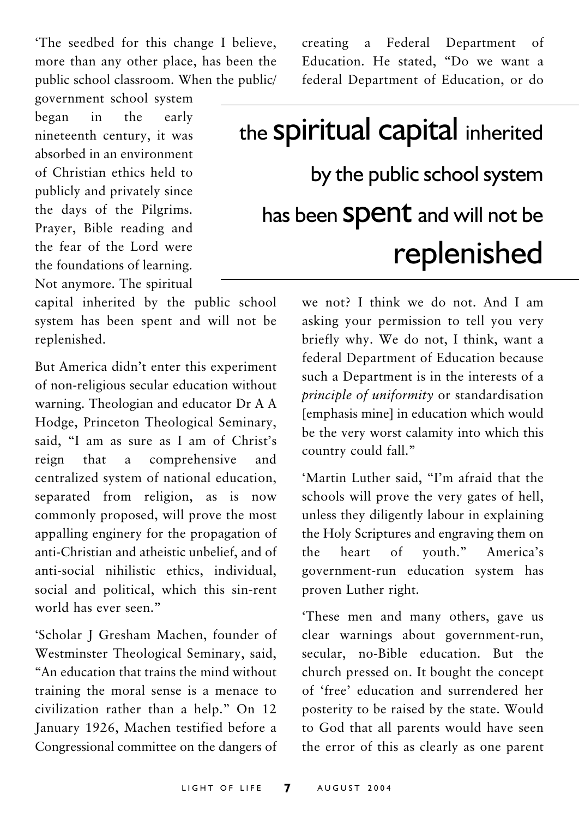'The seedbed for this change I believe, more than any other place, has been the public school classroom. When the public/

government school system began in the early nineteenth century, it was absorbed in an environment of Christian ethics held to publicly and privately since the days of the Pilgrims. Praver, Bible reading and the fear of the Lord were the foundations of learning. Not anymore. The spiritual

capital inherited by the public school system has been spent and will not be replenished.

But America didn't enter this experiment of non-religious secular education without warning. Theologian and educator Dr A A Hodge, Princeton Theological Seminary. said. "I am as sure as I am of Christ's a comprehensive reign that and centralized system of national education, separated from religion, as is now commonly proposed, will prove the most appalling enginery for the propagation of anti-Christian and atheistic unbelief, and of anti-social nihilistic ethics, individual, social and political, which this sin-rent world has ever seen"

'Scholar J Gresham Machen, founder of Westminster Theological Seminary, said, "An education that trains the mind without training the moral sense is a menace to civilization rather than a help." On 12 January 1926, Machen testified before a Congressional committee on the dangers of

creating a Federal Department  $\alpha$ f Education. He stated, "Do we want a federal Department of Education, or do

## the **Spiritual capital** inherited by the public school system has been Spent and will not be replenished

we not? I think we do not. And I am asking your permission to tell you very briefly why. We do not, I think, want a federal Department of Education because such a Department is in the interests of a principle of uniformity or standardisation [emphasis mine] in education which would be the very worst calamity into which this country could fall."

'Martin Luther said. "I'm afraid that the schools will prove the very gates of hell, unless they diligently labour in explaining the Holy Scriptures and engraving them on  $the$ heart  $\alpha$ vouth." America's government-run education system has proven Luther right.

These men and many others, gave us clear warnings about government-run, secular, no-Bible education. But the church pressed on. It bought the concept of 'free' education and surrendered her posterity to be raised by the state. Would to God that all parents would have seen the error of this as clearly as one parent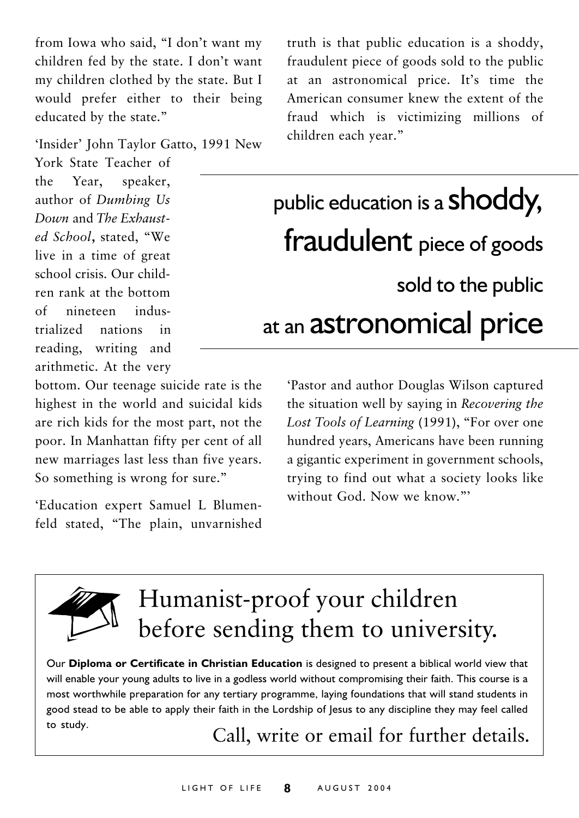from Iowa who said, "I don't want my children fed by the state. I don't want my children clothed by the state. But I would prefer either to their being educated by the state."

'Insider' John Taylor Gatto, 1991 New

York State Teacher of the Year. speaker, author of Dumbing Us Down and The Exhausted School, stated, "We live in a time of great school crisis Our children rank at the bottom nineteen indus- $\alpha$ f trialized nations  $\mathbf{in}$ reading, writing and arithmetic. At the very

bottom. Our teenage suicide rate is the highest in the world and suicidal kids are rich kids for the most part, not the poor. In Manhattan fifty per cent of all new marriages last less than five years. So something is wrong for sure."

'Education expert Samuel L Blumenfeld stated, "The plain, unvarnished truth is that public education is a shoddy, fraudulent piece of goods sold to the public at an astronomical price. It's time the American consumer knew the extent of the fraud which is victimizing millions of children each year."

## public education is a **shoddy**, fraudulent piece of goods sold to the public at an astronomical price

'Pastor and author Douglas Wilson captured the situation well by saying in Recovering the Lost Tools of Learning (1991), "For over one hundred years, Americans have been running a gigantic experiment in government schools, trying to find out what a society looks like without God Now we know"



## Humanist-proof your children before sending them to university.

Our Diploma or Certificate in Christian Education is designed to present a biblical world view that will enable your young adults to live in a godless world without compromising their faith. This course is a most worthwhile preparation for any tertiary programme, laying foundations that will stand students in good stead to be able to apply their faith in the Lordship of Jesus to any discipline they may feel called to study.

Call, write or email for further details.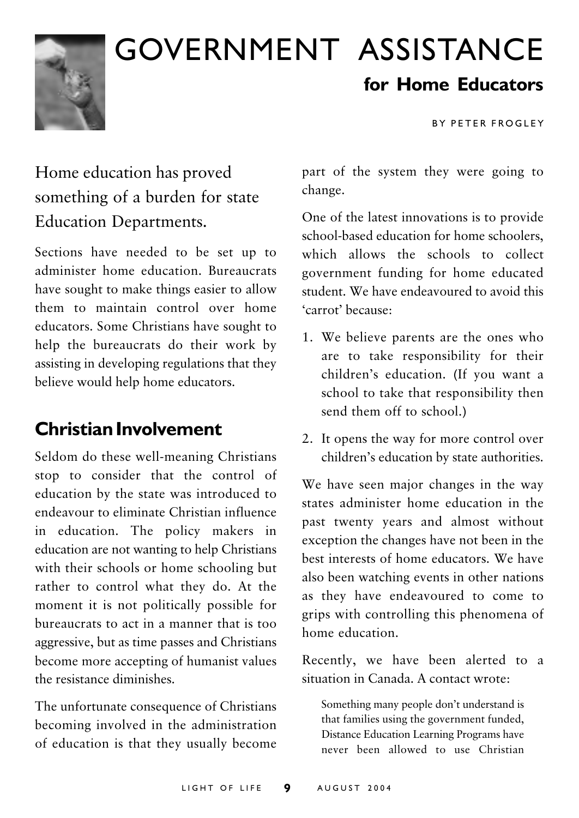

## **GOVERNMENT ASSISTANCE** for Home Educators

**RY PETER FROGLEY** 

## Home education has proved something of a burden for state **Education Departments.**

Sections have needed to be set up to administer home education Bureaucrats have sought to make things easier to allow them to maintain control over home educators. Some Christians have sought to help the bureaucrats do their work by assisting in developing regulations that they believe would help home educators.

### **Christian Involvement**

Seldom do these well-meaning Christians stop to consider that the control of education by the state was introduced to endeavour to eliminate Christian influence in education. The policy makers in education are not wanting to help Christians with their schools or home schooling but rather to control what they do. At the moment it is not politically possible for bureaucrats to act in a manner that is too aggressive, but as time passes and Christians become more accepting of humanist values the resistance diminishes

The unfortunate consequence of Christians becoming involved in the administration of education is that they usually become

part of the system they were going to change.

One of the latest innovations is to provide school-based education for home schoolers. which allows the schools to collect government funding for home educated student. We have endeavoured to avoid this 'carrot' hecause.

- 1. We believe parents are the ones who are to take responsibility for their children's education. (If you want a school to take that responsibility then send them off to school.)
- 2. It opens the way for more control over children's education by state authorities.

We have seen major changes in the way states administer home education in the past twenty years and almost without exception the changes have not been in the best interests of home educators. We have also been watching events in other nations as they have endeavoured to come to grips with controlling this phenomena of home education

Recently, we have been alerted to a situation in Canada. A contact wrote:

Something many people don't understand is that families using the government funded, Distance Education Learning Programs have never been allowed to use Christian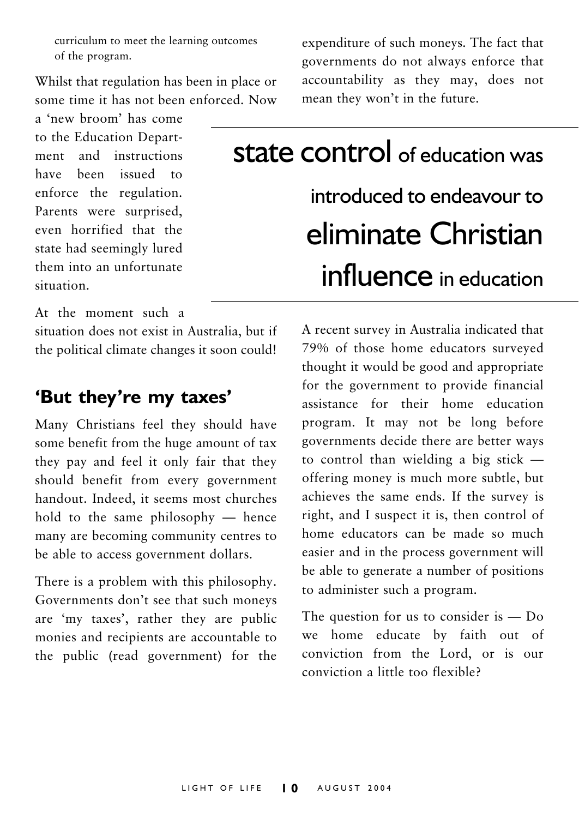curriculum to meet the learning outcomes of the program.

Whilst that regulation has been in place or some time it has not been enforced Now

a 'new broom' has come to the Education Department and instructions have been issued to enforce the regulation. Parents were surprised. even horrified that the state had seemingly lured them into an unfortunate situation.

expenditure of such moneys. The fact that governments do not always enforce that accountability as they may, does not mean they won't in the future.

## **state control** of education was introduced to endeavour to eliminate Christian influence in education

At the moment such a

situation does not exist in Australia, but if the political climate changes it soon could!

#### 'But they're my taxes'

Many Christians feel they should have some benefit from the huge amount of tax they pay and feel it only fair that they should benefit from every government handout. Indeed, it seems most churches hold to the same philosophy - hence many are becoming community centres to be able to access government dollars.

There is a problem with this philosophy. Governments don't see that such moneys are 'my taxes', rather they are public monies and recipients are accountable to the public (read government) for the

A recent survey in Australia indicated that 79% of those home educators surveyed thought it would be good and appropriate for the government to provide financial assistance for their home education program. It may not be long before governments decide there are better ways to control than wielding a big stick  $$ offering money is much more subtle, but achieves the same ends. If the survey is right, and I suspect it is, then control of home educators can be made so much easier and in the process government will be able to generate a number of positions to administer such a program.

The question for us to consider is  $-$  Do we home educate by faith out of conviction from the Lord, or is our conviction a little too flexible?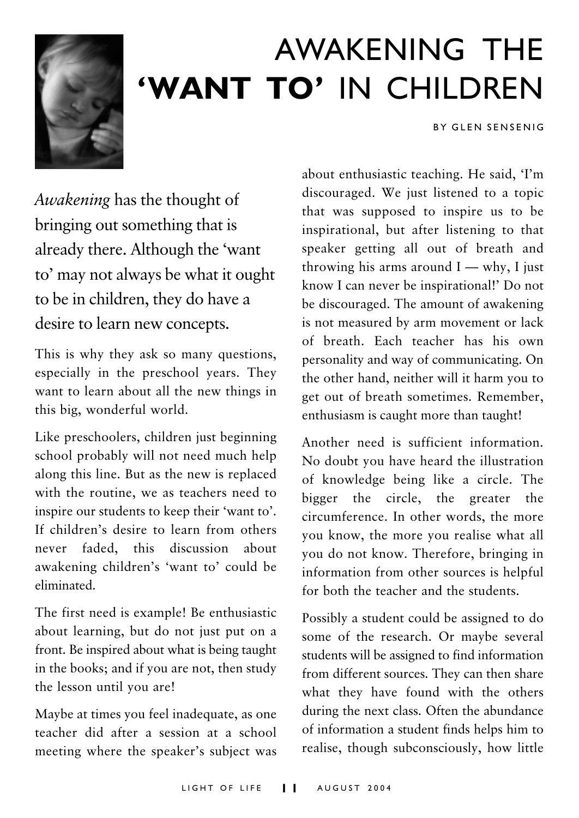

## AWAKFNING THF 'WANT TO' IN CHILDREN

**BY GLEN SENSENIG** 

Awakening has the thought of bringing out something that is already there. Although the 'want to' may not always be what it ought to be in children, they do have a desire to learn new concepts.

This is why they ask so many questions, especially in the preschool years. They want to learn about all the new things in this big, wonderful world.

Like preschoolers, children just beginning school probably will not need much help along this line. But as the new is replaced with the routine, we as teachers need to inspire our students to keep their 'want to'. If children's desire to learn from others never faded this discussion about awakening children's 'want to' could be eliminated

The first need is example! Be enthusiastic about learning, but do not just put on a front. Be inspired about what is being taught in the books; and if you are not, then study the lesson until you are!

Maybe at times you feel inadequate, as one teacher did after a session at a school meeting where the speaker's subject was about enthusiastic teaching. He said, 'I'm discouraged. We just listened to a topic that was supposed to inspire us to be inspirational, but after listening to that speaker getting all out of breath and throwing his arms around  $I - why$ , I just know I can never be inspirational!' Do not be discouraged. The amount of awakening is not measured by arm movement or lack of breath. Each teacher has his own personality and way of communicating. On the other hand, neither will it harm you to get out of breath sometimes. Remember, enthusiasm is caught more than taught!

Another need is sufficient information. No doubt you have heard the illustration of knowledge being like a circle. The bigger the circle, the greater the circumference. In other words, the more you know, the more you realise what all you do not know. Therefore, bringing in information from other sources is helpful for both the teacher and the students

Possibly a student could be assigned to do some of the research. Or maybe several students will be assigned to find information from different sources. They can then share what they have found with the others during the next class. Often the abundance of information a student finds helps him to realise, though subconsciously, how little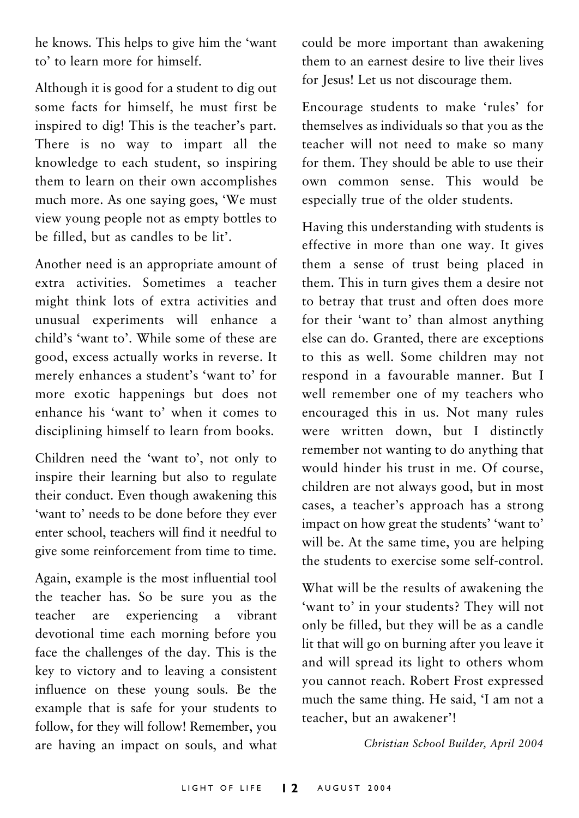he knows. This helps to give him the 'want to' to learn more for himself.

Although it is good for a student to dig out some facts for himself, he must first be inspired to dig! This is the teacher's part. There is no way to impart all the knowledge to each student, so inspiring them to learn on their own accomplishes much more. As one saying goes, 'We must view young people not as empty bottles to be filled, but as candles to be lit'.

Another need is an appropriate amount of extra activities Sometimes a teacher might think lots of extra activities and unusual experiments will enhance a child's 'want to'. While some of these are good, excess actually works in reverse. It merely enhances a student's 'want to' for more exotic happenings but does not enhance his 'want to' when it comes to disciplining himself to learn from books.

Children need the 'want to', not only to inspire their learning but also to regulate their conduct. Even though awakening this 'want to' needs to be done before they ever enter school, teachers will find it needful to give some reinforcement from time to time.

Again, example is the most influential tool the teacher has. So be sure you as the are experiencing teacher vihrant  $\overline{a}$ devotional time each morning before you face the challenges of the day. This is the key to victory and to leaving a consistent influence on these young souls. Be the example that is safe for your students to follow, for they will follow! Remember, you are having an impact on souls, and what

could be more important than awakening them to an earnest desire to live their lives for Jesus! Let us not discourage them.

Encourage students to make 'rules' for themselves as individuals so that you as the teacher will not need to make so many for them. They should be able to use their own common sense. This would be especially true of the older students.

Having this understanding with students is effective in more than one way. It gives them a sense of trust being placed in them. This in turn gives them a desire not to betray that trust and often does more for their 'want to' than almost anything else can do. Granted, there are exceptions to this as well. Some children may not respond in a favourable manner. But I well remember one of my teachers who encouraged this in us. Not many rules were written down, but I distinctly remember not wanting to do anything that would hinder his trust in me. Of course, children are not always good, but in most cases, a teacher's approach has a strong impact on how great the students' 'want to' will be. At the same time, you are helping the students to exercise some self-control.

What will be the results of awakening the 'want to' in your students? They will not only be filled, but they will be as a candle lit that will go on burning after you leave it and will spread its light to others whom you cannot reach. Robert Frost expressed much the same thing. He said, 'I am not a teacher, but an awakener'!

Christian School Builder, April 2004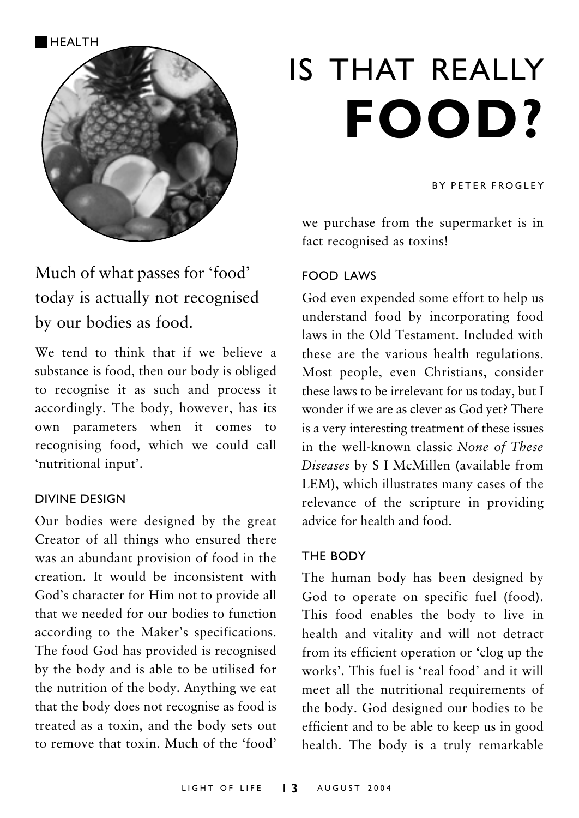**HFAITH** 



## Much of what passes for 'food' today is actually not recognised by our bodies as food.

We tend to think that if we believe a substance is food, then our body is obliged to recognise it as such and process it accordingly. The body, however, has its own parameters when it comes to recognising food, which we could call 'nutritional input'.

#### **DIVINE DESIGN**

Our bodies were designed by the great Creator of all things who ensured there was an abundant provision of food in the creation. It would be inconsistent with God's character for Him not to provide all that we needed for our bodies to function according to the Maker's specifications. The food God has provided is recognised by the body and is able to be utilised for the nutrition of the body. Anything we eat that the body does not recognise as food is treated as a toxin, and the body sets out to remove that toxin. Much of the 'food'

# IS THAT REALLY **FOOD?**

#### **RY PETER FROGLEY**

we purchase from the supermarket is in fact recognised as toxins!

#### **FOOD LAWS**

God even expended some effort to help us understand food by incorporating food laws in the Old Testament. Included with these are the various health regulations. Most people, even Christians, consider these laws to be irrelevant for us today, but I wonder if we are as clever as God yet? There is a very interesting treatment of these issues in the well-known classic None of These Diseases by S I McMillen (available from LEM), which illustrates many cases of the relevance of the scripture in providing advice for health and food

#### THE BODY

The human body has been designed by God to operate on specific fuel (food). This food enables the body to live in health and vitality and will not detract from its efficient operation or 'clog up the works' This fuel is 'real food' and it will meet all the nutritional requirements of the body. God designed our bodies to be efficient and to be able to keep us in good health. The body is a truly remarkable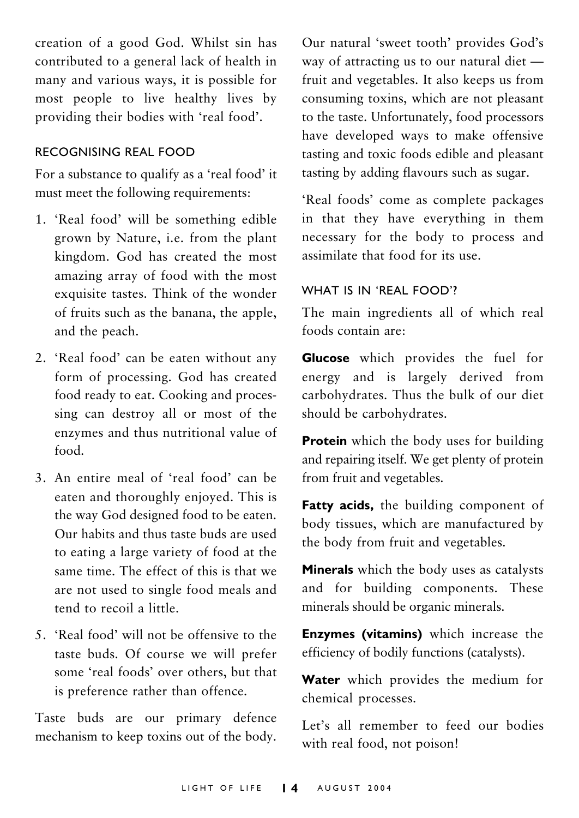creation of a good God. Whilst sin has contributed to a general lack of health in many and various ways, it is possible for most people to live healthy lives by providing their bodies with 'real food'.

#### RECOGNISING REAL FOOD

For a substance to qualify as a 'real food' it must meet the following requirements:

- 1. 'Real food' will be something edible grown by Nature, i.e. from the plant kingdom. God has created the most amazing array of food with the most exquisite tastes. Think of the wonder of fruits such as the banana, the apple, and the peach.
- 2. 'Real food' can be eaten without any form of processing. God has created food ready to eat. Cooking and processing can destroy all or most of the enzymes and thus nutritional value of  $food$
- 3. An entire meal of 'real food' can be eaten and thoroughly enjoyed. This is the way God designed food to be eaten. Our habits and thus taste buds are used to eating a large variety of food at the same time. The effect of this is that we are not used to single food meals and tend to recoil a little.
- 5. 'Real food' will not be offensive to the taste buds. Of course we will prefer some 'real foods' over others, but that is preference rather than offence.

Taste buds are our primary defence mechanism to keep toxins out of the body. Our natural 'sweet tooth' provides God's way of attracting us to our natural diet fruit and vegetables. It also keeps us from consuming toxins, which are not pleasant to the taste. Unfortunately, food processors have developed ways to make offensive tasting and toxic foods edible and pleasant tasting by adding flavours such as sugar.

'Real foods' come as complete packages in that they have everything in them necessary for the body to process and assimilate that food for its use

#### WHAT IS IN 'REAL FOOD'?

The main ingredients all of which real foods contain are:

Glucose which provides the fuel for energy and is largely derived from carbohydrates. Thus the bulk of our diet should be carbohydrates.

**Protein** which the body uses for building and repairing itself. We get plenty of protein from fruit and vegetables.

Fatty acids, the building component of body tissues, which are manufactured by the body from fruit and vegetables.

Minerals which the body uses as catalysts and for building components. These minerals should be organic minerals.

Enzymes (vitamins) which increase the efficiency of bodily functions (catalysts).

Water which provides the medium for chemical processes.

Let's all remember to feed our bodies with real food, not poison!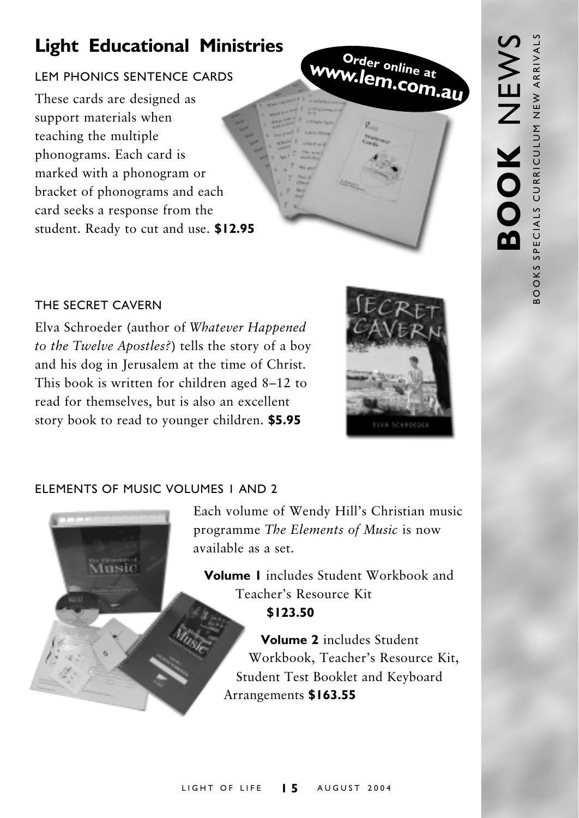## **Light Educational Ministries**

#### LEM PHONICS SENTENCE CARDS

These cards are designed as support materials when teaching the multiple phonograms. Each card is marked with a phonogram or bracket of phonograms and each card seeks a response from the student. Ready to cut and use. \$12.95



#### THE SECRET CAVERN

Elva Schroeder (author of Whatever Happened to the Twelve Apostles?) tells the story of a boy and his dog in Jerusalem at the time of Christ. This book is written for children aged 8-12 to read for themselves, but is also an excellent story book to read to younger children. \$5.95



#### ELEMENTS OF MUSIC VOLUMES I AND 2



Each volume of Wendy Hill's Christian music programme The Elements of Music is now available as a set

Volume 1 includes Student Workbook and Teacher's Resource Kit

\$123.50

Volume 2 includes Student Workbook, Teacher's Resource Kit, Student Test Booklet and Keyboard Arrangements \$163.55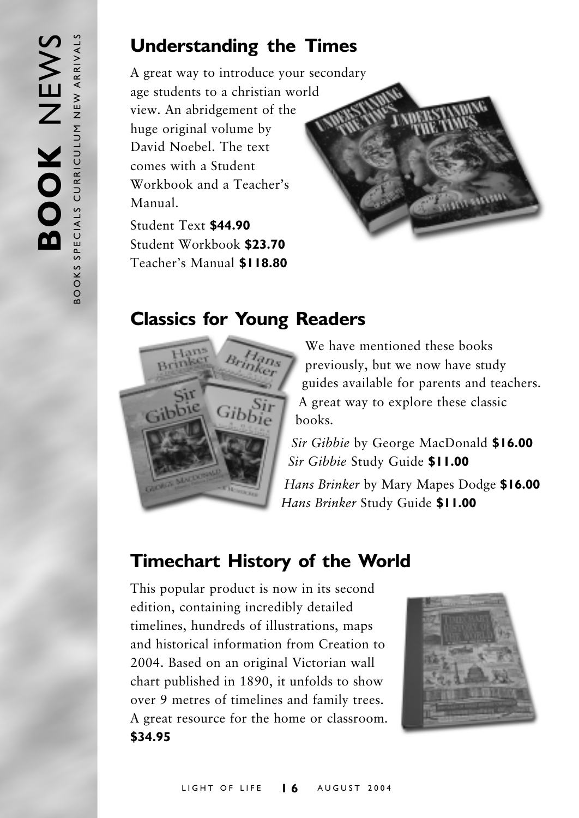### **Understanding the Times**

A great way to introduce your secondary age students to a christian world view. An abridgement of the huge original volume by David Noebel The text comes with a Student Workbook and a Teacher's Manual

Student Text \$44.90 Student Workbook \$23.70 Teacher's Manual \$118.80

## **Classics for Young Readers**



We have mentioned these books previously, but we now have study guides available for parents and teachers. A great way to explore these classic hooks

motores

Sir Gibbie by George MacDonald \$16.00 Sir Gibbie Study Guide \$11.00

Hans Brinker by Mary Mapes Dodge \$16.00 Hans Brinker Study Guide \$11.00

## **Timechart History of the World**

This popular product is now in its second edition, containing incredibly detailed timelines, hundreds of illustrations, maps and historical information from Creation to 2004. Based on an original Victorian wall chart published in 1890, it unfolds to show over 9 metres of timelines and family trees. A great resource for the home or classroom. \$34.95

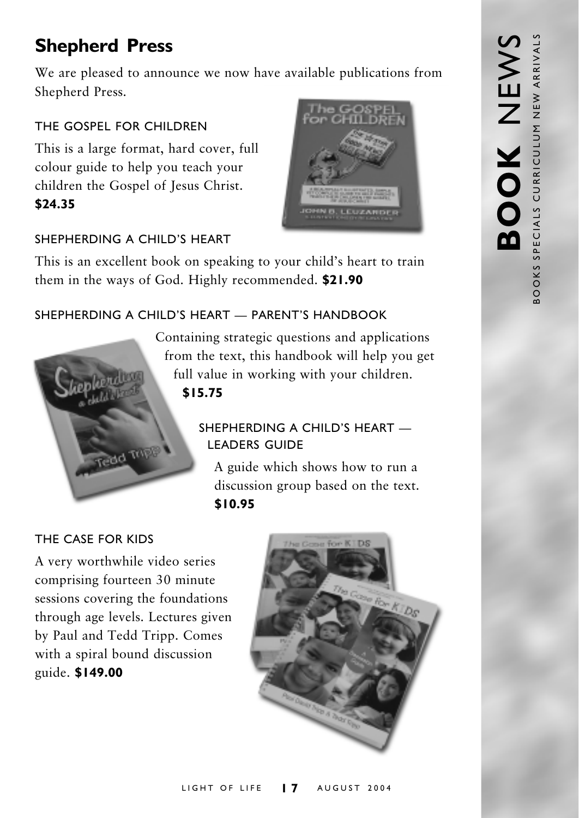## **Shepherd Press**

We are pleased to announce we now have available publications from Shepherd Press.

#### THE GOSPEL FOR CHILDREN

This is a large format, hard cover, full colour guide to help you teach your children the Gospel of Jesus Christ. \$24.35

#### SHEPHERDING A CHILD'S HEART

This is an excellent book on speaking to your child's heart to train them in the ways of God. Highly recommended. \$21.90

#### SHEPHERDING A CHILD'S HEART - PARENT'S HANDBOOK



Containing strategic questions and applications from the text, this handbook will help you get full value in working with your children.  $$15.75$ 

#### SHEPHERDING A CHILD'S HEART **LEADERS GUIDE**

A guide which shows how to run a discussion group based on the text. \$10.95

#### THE CASE FOR KIDS

A very worthwhile video series comprising fourteen 30 minute sessions covering the foundations through age levels. Lectures given by Paul and Tedd Tripp. Comes with a spiral bound discussion guide. \$149.00



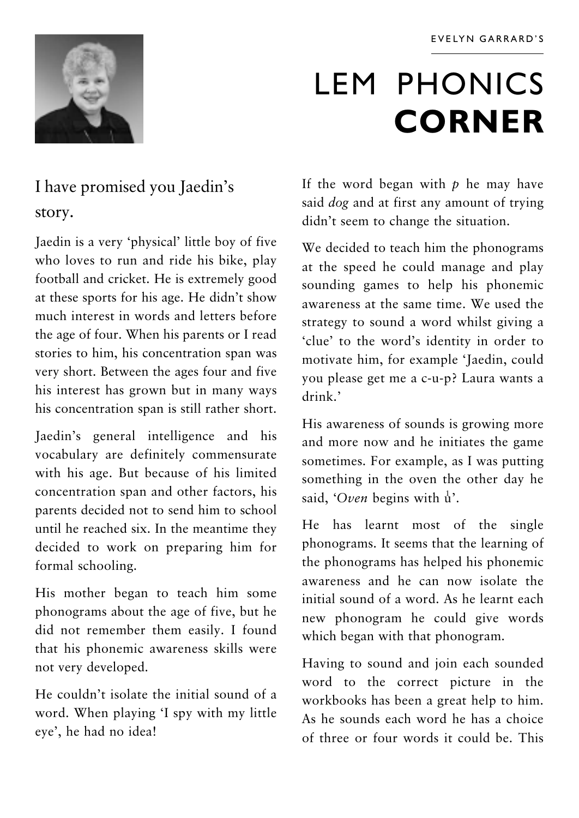

## **LEM PHONICS CORNER**

## I have promised you Jaedin's story.

Jaedin is a very 'physical' little boy of five who loves to run and ride his bike, play football and cricket. He is extremely good at these sports for his age. He didn't show much interest in words and letters before the age of four. When his parents or I read stories to him, his concentration span was very short. Between the ages four and five his interest has grown but in many ways his concentration span is still rather short.

Jaedin's general intelligence and his vocabulary are definitely commensurate with his age. But because of his limited concentration span and other factors, his parents decided not to send him to school until he reached six. In the meantime they decided to work on preparing him for formal schooling.

His mother began to teach him some phonograms about the age of five, but he did not remember them easily. I found that his phonemic awareness skills were not very developed.

He couldn't isolate the initial sound of a word. When playing 'I spy with my little eye', he had no idea!

If the word began with  $p$  he may have said dog and at first any amount of trying didn't seem to change the situation.

We decided to teach him the phonograms at the speed he could manage and play sounding games to help his phonemic awareness at the same time. We used the strategy to sound a word whilst giving a 'clue' to the word's identity in order to motivate him, for example 'Jaedin, could you please get me a c-u-p? Laura wants a  $drink$ ,

His awareness of sounds is growing more and more now and he initiates the game sometimes. For example, as I was putting something in the oven the other day he said, 'Oven begins with  $\mathbf{u}'$ '.

He has learnt most of the single phonograms. It seems that the learning of the phonograms has helped his phonemic awareness and he can now isolate the initial sound of a word. As he learnt each new phonogram he could give words which began with that phonogram.

Having to sound and join each sounded word to the correct picture in the workbooks has been a great help to him. As he sounds each word he has a choice of three or four words it could be This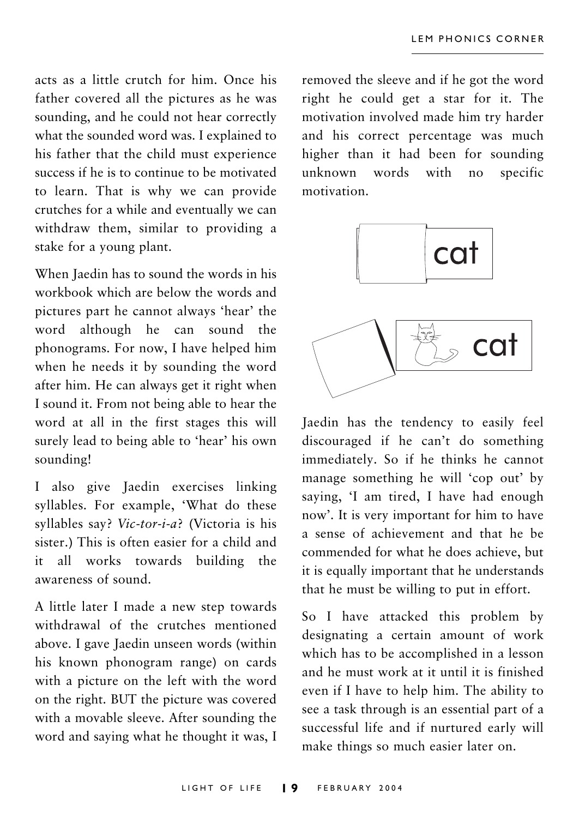acts as a little crutch for him. Once his father covered all the pictures as he was sounding, and he could not hear correctly what the sounded word was. I explained to his father that the child must experience success if he is to continue to be motivated to learn. That is why we can provide crutches for a while and eventually we can withdraw them, similar to providing a stake for a young plant.

When Iaedin has to sound the words in his workbook which are below the words and pictures part he cannot always 'hear' the word although he can sound the phonograms. For now, I have helped him when he needs it by sounding the word after him. He can always get it right when I sound it. From not being able to hear the word at all in the first stages this will surely lead to being able to 'hear' his own sounding!

I also give Jaedin exercises linking syllables. For example, 'What do these syllables say? Vic-tor-i-a? (Victoria is his sister.) This is often easier for a child and it all works towards building the awareness of sound.

A little later I made a new step towards withdrawal of the crutches mentioned above. I gave Jaedin unseen words (within his known phonogram range) on cards with a picture on the left with the word on the right. BUT the picture was covered with a movable sleeve. After sounding the word and saying what he thought it was, I removed the sleeve and if he got the word right he could get a star for it. The motivation involved made him try harder and his correct percentage was much higher than it had been for sounding unknown words with  $no$ specific motivation.



Jaedin has the tendency to easily feel discouraged if he can't do something immediately. So if he thinks he cannot manage something he will 'cop out' by saying, 'I am tired, I have had enough now'. It is very important for him to have a sense of achievement and that he be commended for what he does achieve, but it is equally important that he understands that he must be willing to put in effort.

So I have attacked this problem by designating a certain amount of work which has to be accomplished in a lesson and he must work at it until it is finished even if I have to help him. The ability to see a task through is an essential part of a successful life and if nurtured early will make things so much easier later on.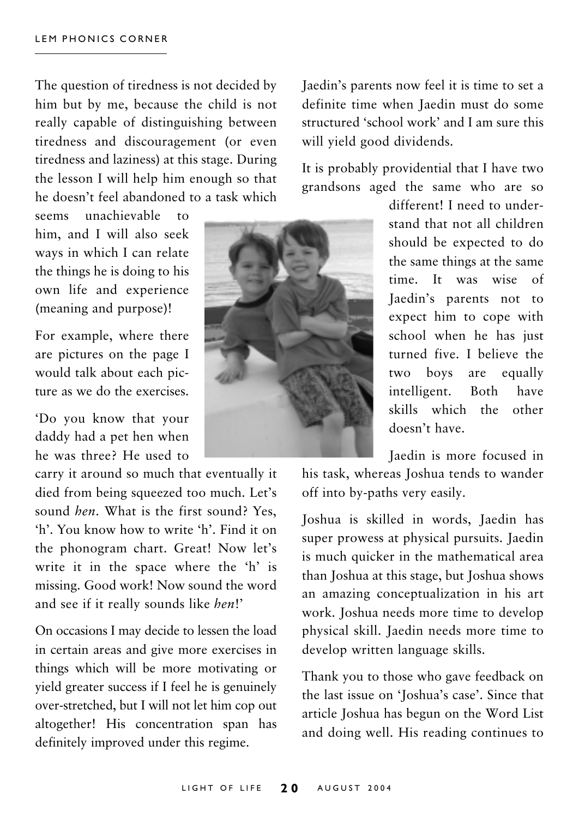The question of tiredness is not decided by him but by me, because the child is not really capable of distinguishing between tiredness and discouragement (or even tiredness and laziness) at this stage. During the lesson I will help him enough so that he doesn't feel abandoned to a task which

seems unachievable  $\mathbf{t}$ him, and I will also seek ways in which I can relate the things he is doing to his own life and experience (meaning and purpose)!

For example, where there are pictures on the page I would talk about each picture as we do the exercises.

'Do you know that your daddy had a pet hen when he was three? He used to

carry it around so much that eventually it died from being squeezed too much. Let's sound hen What is the first sound? Yes 'h' You know how to write 'h' Find it on the phonogram chart. Great! Now let's write it in the space where the 'h' is missing. Good work! Now sound the word and see if it really sounds like hen!'

On occasions I may decide to lessen the load in certain areas and give more exercises in things which will be more motivating or yield greater success if I feel he is genuinely over-stretched, but I will not let him cop out altogether! His concentration span has definitely improved under this regime.

Jaedin's parents now feel it is time to set a definite time when Iaedin must do some structured 'school work' and I am sure this will vield good dividends.

It is probably providential that I have two grandsons aged the same who are so



different! I need to understand that not all children should be expected to do the same things at the same time. It was wise  $\alpha$ f Jaedin's parents not to expect him to cope with school when he has just turned five. I believe the two boys are equally intelligent. Both have skills which the other doesn't have.

Jaedin is more focused in

his task, whereas Joshua tends to wander off into by-paths very easily.

Joshua is skilled in words, Jaedin has super prowess at physical pursuits. Jaedin is much quicker in the mathematical area than Joshua at this stage, but Joshua shows an amazing conceptualization in his art work. Joshua needs more time to develop physical skill. Jaedin needs more time to develop written language skills.

Thank you to those who gave feedback on the last issue on 'Joshua's case'. Since that article Joshua has begun on the Word List and doing well. His reading continues to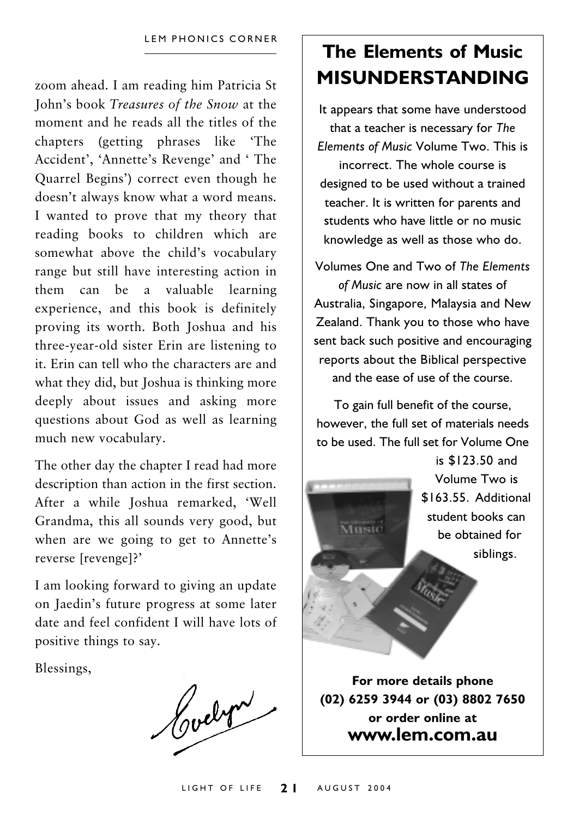zoom ahead. I am reading him Patricia St John's book *Treasures of the Snow* at the moment and he reads all the titles of the chapters (getting phrases like 'The Accident', 'Annette's Revenge' and 'The Ouarrel Begins') correct even though he doesn't always know what a word means. I wanted to prove that my theory that reading books to children which are somewhat above the child's vocabulary range but still have interesting action in them can be a valuable learning experience, and this book is definitely proving its worth. Both Joshua and his three-year-old sister Erin are listening to it. Erin can tell who the characters are and what they did, but Joshua is thinking more deeply about issues and asking more questions about God as well as learning much new vocabulary.

The other day the chapter I read had more description than action in the first section. After a while Joshua remarked, 'Well Grandma, this all sounds very good, but when are we going to get to Annette's reverse [revenge]?'

I am looking forward to giving an update on Jaedin's future progress at some later date and feel confident I will have lots of positive things to say.

Blessings,

Hoelyn

## The Flements of Music **MISUNDERSTANDING**

It appears that some have understood that a teacher is necessary for The Elements of Music Volume Two. This is incorrect. The whole course is designed to be used without a trained teacher. It is written for parents and students who have little or no music knowledge as well as those who do.

Volumes One and Two of The Flements of Music are now in all states of Australia, Singapore, Malaysia and New Zealand. Thank you to those who have sent back such positive and encouraging reports about the Biblical perspective and the ease of use of the course

To gain full benefit of the course, however, the full set of materials needs to be used. The full set for Volume One



(02) 6259 3944 or (03) 8802 7650 or order online at www.lem.com.au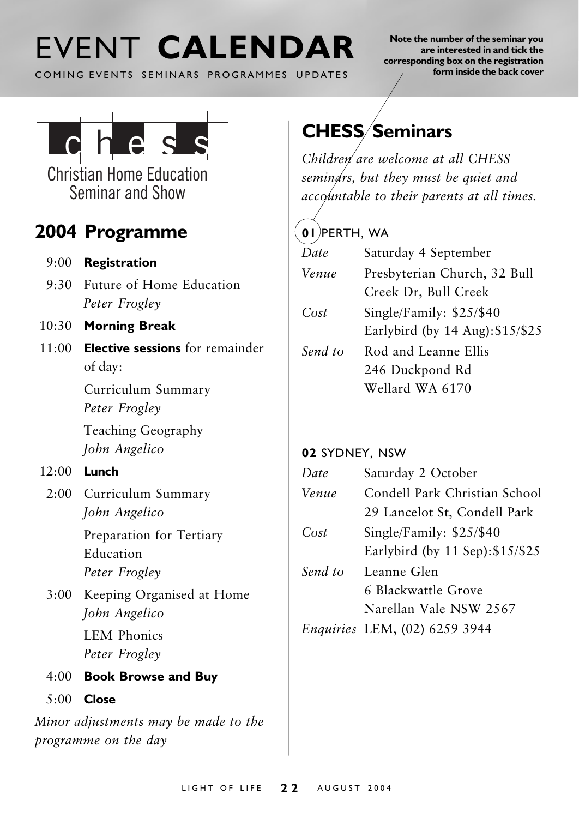## FVENT CALENDAR

COMING EVENTS SEMINARS PROGRAMMES UPDATES

Note the number of the seminar you are interested in and tick the corresponding box on the registration form inside the back cover



**Christian Home Education** Seminar and Show

### 2004 Programme

- $9:00$  Registration
- 9:30 Future of Home Education Peter Frogley
- 10:30 Morning Break
- $11(00)$  Elective sessions for remainder of day:

Curriculum Summary Peter Frogley

Teaching Geography John Angelico

#### $12:00$  Lunch

2:00 Curriculum Summary John Angelico

> Preparation for Tertiary Education Peter Frogley

3:00 Keeping Organised at Home John Angelico

> **LEM Phonics** Peter Frogley

- 4:00 Book Browse and Buy
- $5:00$  Close

Minor adjustments may be made to the programme on the day

## **CHESS/Seminars**

Children are welcome at all CHESS semindrs, but they must be quiet and accountable to their parents at all times.

### $($  01 PERTH. WA

| Date    | Saturday 4 September             |  |
|---------|----------------------------------|--|
| Venue   | Presbyterian Church, 32 Bull     |  |
|         | Creek Dr, Bull Creek             |  |
| Cost    | Single/Family: $$25/$40$         |  |
|         | Earlybird (by 14 Aug): \$15/\$25 |  |
| Send to | Rod and Leanne Ellis             |  |
|         | 246 Duckpond Rd                  |  |
|         | Wellard WA 6170                  |  |
|         |                                  |  |

#### 02 SYDNEY, NSW

| Date    | Saturday 2 October               |  |
|---------|----------------------------------|--|
| Venue   | Condell Park Christian School    |  |
|         | 29 Lancelot St, Condell Park     |  |
| Cost    | Single/Family: $$25/$40$         |  |
|         | Earlybird (by 11 Sep): \$15/\$25 |  |
| Send to | Leanne Glen                      |  |
|         | 6 Blackwattle Grove              |  |
|         | Narellan Vale NSW 2567           |  |
|         | Enquiries LEM, (02) 6259 3944    |  |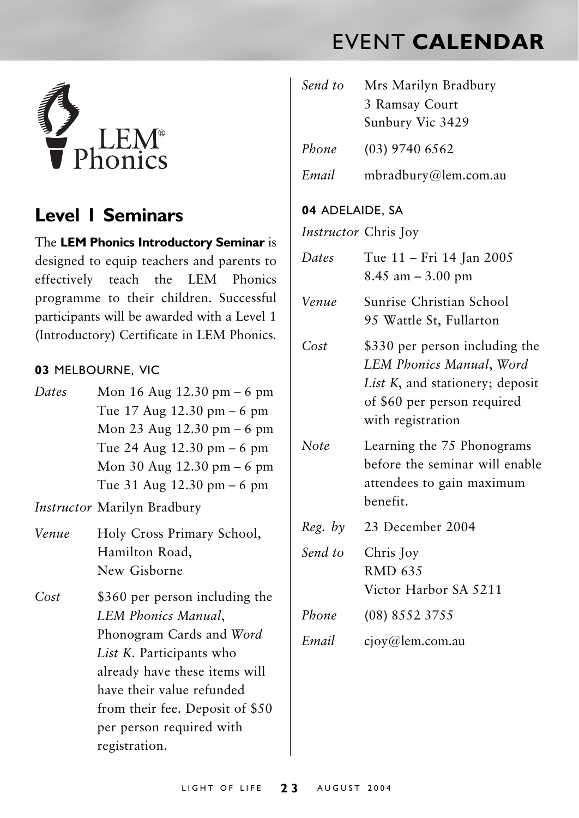## **FVENT CALENDAR**



#### **Level I Seminars**

The LEM Phonics Introductory Seminar is designed to equip teachers and parents to effectively teach the LEM Phonics programme to their children. Successful participants will be awarded with a Level 1 (Introductory) Certificate in LEM Phonics.

#### 03 MELBOURNE, VIC

| Dates | Mon $16$ Aug $12.30$ pm $-6$ pm              |
|-------|----------------------------------------------|
|       | Tue $17$ Aug $12.30$ pm $-6$ pm              |
|       | Mon 23 Aug $12.30 \text{ pm} - 6 \text{ pm}$ |
|       | Tue 24 Aug $12.30 \text{ pm} - 6 \text{ pm}$ |
|       | Mon 30 Aug $12.30 \text{ pm} - 6 \text{ pm}$ |
|       | Tue 31 Aug $12.30 \text{ pm} - 6 \text{ pm}$ |

Instructor Marilyn Bradbury

- Holy Cross Primary School, Venue Hamilton Road. New Gisborne
- $Cost$ \$360 per person including the LEM Phonics Manual, Phonogram Cards and Word List K. Participants who already have these items will have their value refunded from their fee. Deposit of \$50 per person required with registration.

| Send to                     | Mrs Marilyn Bradbury<br>3 Ramsay Court<br>Sunbury Vic 3429                                                                                        |  |
|-----------------------------|---------------------------------------------------------------------------------------------------------------------------------------------------|--|
| Phone                       | (03) 9740 6562                                                                                                                                    |  |
| Email                       | mbradbury@lem.com.au                                                                                                                              |  |
| 04 ADELAIDE, SA             |                                                                                                                                                   |  |
| <i>Instructor</i> Chris Joy |                                                                                                                                                   |  |
| Dates                       | Tue 11 - Fri 14 Jan 2005<br>$8.45$ am $-3.00$ pm                                                                                                  |  |
| Venue                       | Sunrise Christian School<br>95 Wattle St, Fullarton                                                                                               |  |
| Cost                        | \$330 per person including the<br>LEM Phonics Manual, Word<br>List K, and stationery; deposit<br>of \$60 per person required<br>with registration |  |
| Note                        | Learning the 75 Phonograms<br>before the seminar will enable<br>attendees to gain maximum<br>benefit.                                             |  |
| Reg. by                     | 23 December 2004                                                                                                                                  |  |
| Send to                     | Chris Joy<br><b>RMD 635</b><br>Victor Harbor SA 5211                                                                                              |  |
| Phone                       | (08) 8552 3755                                                                                                                                    |  |
| Email                       | cjoy@lem.com.au                                                                                                                                   |  |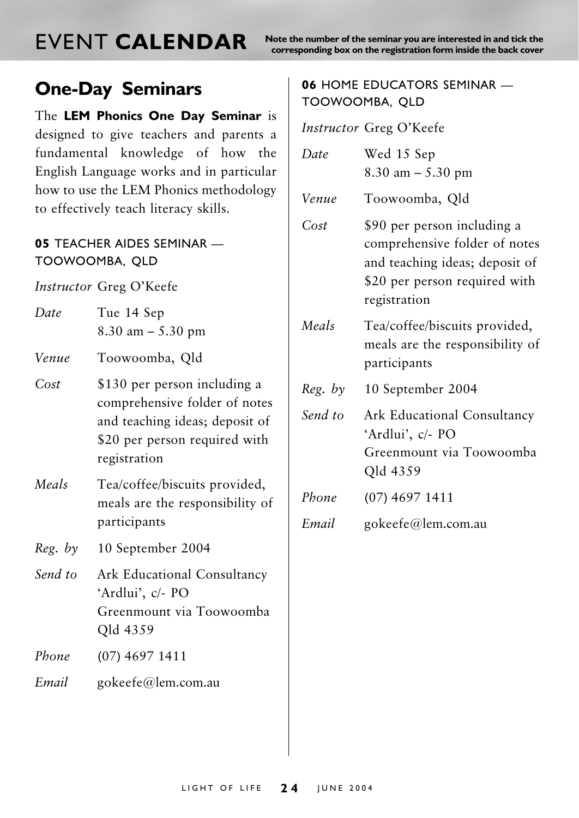## **FVENT CALENDAR**

Note the number of the seminar you are interested in and tick the corresponding box on the registration form inside the back cover

### **One-Day Seminars**

The LEM Phonics One Day Seminar is designed to give teachers and parents a fundamental knowledge of how the English Language works and in particular how to use the LEM Phonics methodology to effectively teach literacy skills.

#### 05 TEACHER AIDES SEMINAR -TOOWOOMBA, OLD

Instructor Greg O'Keefe

| Date | Tue 14 Sep            |  |
|------|-----------------------|--|
|      | $8.30$ am $- 5.30$ pm |  |

Venue Toowoomba, Old

- $Cost$ \$130 per person including a comprehensive folder of notes and teaching ideas; deposit of \$20 per person required with registration
- Meals Tea/coffee/biscuits provided, meals are the responsibility of participants

 $Reg.$  by 10 September 2004

- Send to Ark Educational Consultancy 'Ardlui', c/- PO Greenmount via Toowoomba Qld 4359
- Phone  $(07)$  4697 1411
- Email gokeefe@lem.com.au

#### 06 HOME EDUCATORS SEMINAR -TOOWOOMBA, OLD

Instructor Greg O'Keefe

| Date    | Wed 15 Sep<br>$8.30$ am $- 5.30$ pm                                                                                                             |  |
|---------|-------------------------------------------------------------------------------------------------------------------------------------------------|--|
| Venue   | Toowoomba, Qld                                                                                                                                  |  |
| Cost    | \$90 per person including a<br>comprehensive folder of notes<br>and teaching ideas; deposit of<br>\$20 per person required with<br>registration |  |
| Meals   | Tea/coffee/biscuits provided,<br>meals are the responsibility of<br>participants                                                                |  |
| Reg. by | 10 September 2004                                                                                                                               |  |
| Send to | Ark Educational Consultancy<br>'Ardlui', c/- PO<br>Greenmount via Toowoomba<br>Qld 4359                                                         |  |
| Phone   | $(07)$ 4697 1411                                                                                                                                |  |
| Email   | gokeefe@lem.com.au                                                                                                                              |  |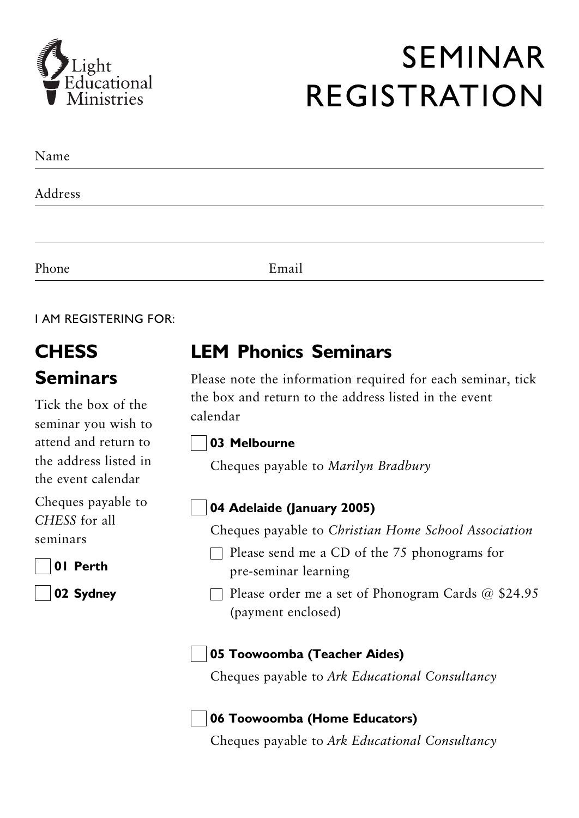

## **SEMINAR REGISTRATION**

| Name    |       |  |
|---------|-------|--|
| Address |       |  |
|         |       |  |
| Phone   | Email |  |

**LAM REGISTERING FOR:** 

## **CHESS Seminars**

Tick the box of the seminar vou wish to attend and return to the address listed in the event calendar

Cheques payable to CHESS for all seminars

01 Perth

02 Sydney

### **I FM Phonics Seminars**

Please note the information required for each seminar, tick the box and return to the address listed in the event calendar

#### 03 Melbourne

Cheques payable to Marilyn Bradbury

#### 04 Adelaide (January 2005)

Cheques payable to Christian Home School Association

- $\Box$  Please send me a CD of the 75 phonograms for pre-seminar learning
- $\Box$  Please order me a set of Phonogram Cards @ \$24.95 (payment enclosed)

#### 05 Toowoomba (Teacher Aides)

Cheques payable to Ark Educational Consultancy

#### 06 Toowoomba (Home Educators)

Cheques payable to Ark Educational Consultancy